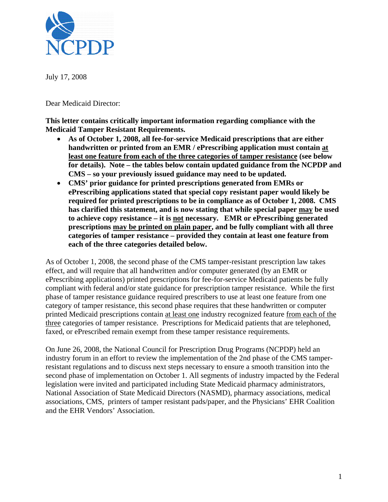

July 17, 2008

Dear Medicaid Director:

**This letter contains critically important information regarding compliance with the Medicaid Tamper Resistant Requirements.** 

- **As of October 1, 2008, all fee-for-service Medicaid prescriptions that are either handwritten or printed from an EMR / ePrescribing application must contain at least one feature from each of the three categories of tamper resistance (see below for details). Note – the tables below contain updated guidance from the NCPDP and CMS – so your previously issued guidance may need to be updated.**
- **CMS' prior guidance for printed prescriptions generated from EMRs or ePrescribing applications stated that special copy resistant paper would likely be required for printed prescriptions to be in compliance as of October 1, 2008. CMS has clarified this statement, and is now stating that while special paper may be used to achieve copy resistance – it is not necessary. EMR or ePrescribing generated prescriptions may be printed on plain paper, and be fully compliant with all three categories of tamper resistance – provided they contain at least one feature from each of the three categories detailed below.**

As of October 1, 2008, the second phase of the CMS tamper-resistant prescription law takes effect, and will require that all handwritten and/or computer generated (by an EMR or ePrescribing applications) printed prescriptions for fee-for-service Medicaid patients be fully compliant with federal and/or state guidance for prescription tamper resistance. While the first phase of tamper resistance guidance required prescribers to use at least one feature from one category of tamper resistance, this second phase requires that these handwritten or computer printed Medicaid prescriptions contain at least one industry recognized feature from each of the three categories of tamper resistance. Prescriptions for Medicaid patients that are telephoned, faxed, or ePrescribed remain exempt from these tamper resistance requirements.

On June 26, 2008, the National Council for Prescription Drug Programs (NCPDP) held an industry forum in an effort to review the implementation of the 2nd phase of the CMS tamperresistant regulations and to discuss next steps necessary to ensure a smooth transition into the second phase of implementation on October 1. All segments of industry impacted by the Federal legislation were invited and participated including State Medicaid pharmacy administrators, National Association of State Medicaid Directors (NASMD), pharmacy associations, medical associations, CMS, printers of tamper resistant pads/paper, and the Physicians' EHR Coalition and the EHR Vendors' Association.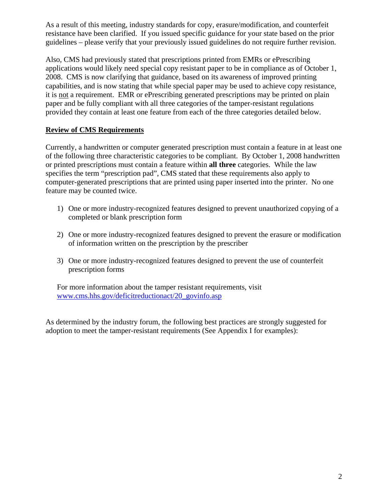As a result of this meeting, industry standards for copy, erasure/modification, and counterfeit resistance have been clarified. If you issued specific guidance for your state based on the prior guidelines – please verify that your previously issued guidelines do not require further revision.

Also, CMS had previously stated that prescriptions printed from EMRs or ePrescribing applications would likely need special copy resistant paper to be in compliance as of October 1, 2008. CMS is now clarifying that guidance, based on its awareness of improved printing capabilities, and is now stating that while special paper may be used to achieve copy resistance, it is not a requirement. EMR or ePrescribing generated prescriptions may be printed on plain paper and be fully compliant with all three categories of the tamper-resistant regulations provided they contain at least one feature from each of the three categories detailed below.

## **Review of CMS Requirements**

Currently, a handwritten or computer generated prescription must contain a feature in at least one of the following three characteristic categories to be compliant. By October 1, 2008 handwritten or printed prescriptions must contain a feature within **all three** categories. While the law specifies the term "prescription pad", CMS stated that these requirements also apply to computer-generated prescriptions that are printed using paper inserted into the printer. No one feature may be counted twice.

- 1) One or more industry-recognized features designed to prevent unauthorized copying of a completed or blank prescription form
- 2) One or more industry-recognized features designed to prevent the erasure or modification of information written on the prescription by the prescriber
- 3) One or more industry-recognized features designed to prevent the use of counterfeit prescription forms

For more information about the tamper resistant requirements, visit www.cms.hhs.gov/deficitreductionact/20\_govinfo.asp

As determined by the industry forum, the following best practices are strongly suggested for adoption to meet the tamper-resistant requirements (See Appendix I for examples):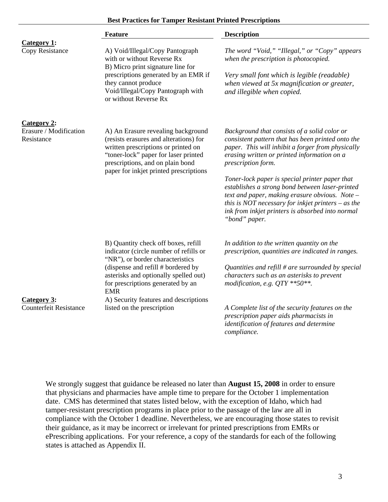#### **Best Practices for Tamper Resistant Printed Prescriptions**

|                                              | <b>Feature</b>                                                                                                                                                                                                                            | <b>Description</b>                                                                                                                                                                                                                                                               |
|----------------------------------------------|-------------------------------------------------------------------------------------------------------------------------------------------------------------------------------------------------------------------------------------------|----------------------------------------------------------------------------------------------------------------------------------------------------------------------------------------------------------------------------------------------------------------------------------|
| Category 1:<br>Copy Resistance               | A) Void/Illegal/Copy Pantograph                                                                                                                                                                                                           | The word "Void," "Illegal," or "Copy" appears                                                                                                                                                                                                                                    |
|                                              | with or without Reverse Rx<br>B) Micro print signature line for                                                                                                                                                                           | when the prescription is photocopied.                                                                                                                                                                                                                                            |
|                                              | prescriptions generated by an EMR if<br>they cannot produce<br>Void/Illegal/Copy Pantograph with<br>or without Reverse Rx                                                                                                                 | Very small font which is legible (readable)<br>when viewed at 5x magnification or greater,<br>and illegible when copied.                                                                                                                                                         |
| Category 2:                                  |                                                                                                                                                                                                                                           |                                                                                                                                                                                                                                                                                  |
| Erasure / Modification<br>Resistance         | A) An Erasure revealing background<br>(resists erasures and alterations) for<br>written prescriptions or printed on<br>"toner-lock" paper for laser printed<br>prescriptions, and on plain bond<br>paper for inkjet printed prescriptions | Background that consists of a solid color or<br>consistent pattern that has been printed onto the<br>paper. This will inhibit a forger from physically<br>erasing written or printed information on a<br>prescription form.                                                      |
|                                              |                                                                                                                                                                                                                                           | Toner-lock paper is special printer paper that<br>establishes a strong bond between laser-printed<br>text and paper, making erasure obvious. Note -<br>this is NOT necessary for inkjet printers $-$ as the<br>ink from inkjet printers is absorbed into normal<br>"bond" paper. |
|                                              | B) Quantity check off boxes, refill<br>indicator (circle number of refills or<br>"NR"), or border characteristics                                                                                                                         | In addition to the written quantity on the<br>prescription, quantities are indicated in ranges.                                                                                                                                                                                  |
|                                              | (dispense and refill # bordered by<br>asterisks and optionally spelled out)<br>for prescriptions generated by an<br><b>EMR</b>                                                                                                            | Quantities and refill $#$ are surrounded by special<br>characters such as an asterisks to prevent<br>modification, e.g. $QTY$ **50**.                                                                                                                                            |
| Category 3:<br><b>Counterfeit Resistance</b> | A) Security features and descriptions<br>listed on the prescription                                                                                                                                                                       | A Complete list of the security features on the                                                                                                                                                                                                                                  |
|                                              |                                                                                                                                                                                                                                           | prescription paper aids pharmacists in                                                                                                                                                                                                                                           |
|                                              |                                                                                                                                                                                                                                           | identification of features and determine<br>compliance.                                                                                                                                                                                                                          |

We strongly suggest that guidance be released no later than **August 15, 2008** in order to ensure that physicians and pharmacies have ample time to prepare for the October 1 implementation date. CMS has determined that states listed below, with the exception of Idaho, which had tamper-resistant prescription programs in place prior to the passage of the law are all in compliance with the October 1 deadline. Nevertheless, we are encouraging those states to revisit their guidance, as it may be incorrect or irrelevant for printed prescriptions from EMRs or ePrescribing applications. For your reference, a copy of the standards for each of the following states is attached as Appendix II.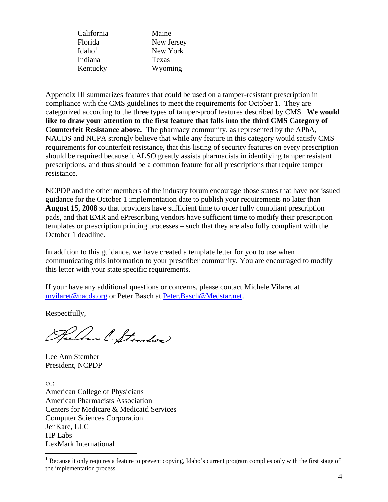| Maine      |
|------------|
| New Jersey |
| New York   |
| Texas      |
| Wyoming    |
|            |

Appendix III summarizes features that could be used on a tamper-resistant prescription in compliance with the CMS guidelines to meet the requirements for October 1. They are categorized according to the three types of tamper-proof features described by CMS. **We would like to draw your attention to the first feature that falls into the third CMS Category of Counterfeit Resistance above.** The pharmacy community, as represented by the APhA, NACDS and NCPA strongly believe that while any feature in this category would satisfy CMS requirements for counterfeit resistance, that this listing of security features on every prescription should be required because it ALSO greatly assists pharmacists in identifying tamper resistant prescriptions, and thus should be a common feature for all prescriptions that require tamper resistance.

NCPDP and the other members of the industry forum encourage those states that have not issued guidance for the October 1 implementation date to publish your requirements no later than **August 15, 2008** so that providers have sufficient time to order fully compliant prescription pads, and that EMR and ePrescribing vendors have sufficient time to modify their prescription templates or prescription printing processes – such that they are also fully compliant with the October 1 deadline.

In addition to this guidance, we have created a template letter for you to use when communicating this information to your prescriber community. You are encouraged to modify this letter with your state specific requirements.

If your have any additional questions or concerns, please contact Michele Vilaret at mvilaret@nacds.org or Peter Basch at Peter.Basch@Medstar.net.

Respectfully,

Rechn C. Stemhen

Lee Ann Stember President, NCPDP

cc: American College of Physicians American Pharmacists Association Centers for Medicare & Medicaid Services Computer Sciences Corporation JenKare, LLC HP Labs LexMark International  $\overline{a}$ 

<sup>&</sup>lt;sup>1</sup> Because it only requires a feature to prevent copying, Idaho's current program complies only with the first stage of the implementation process.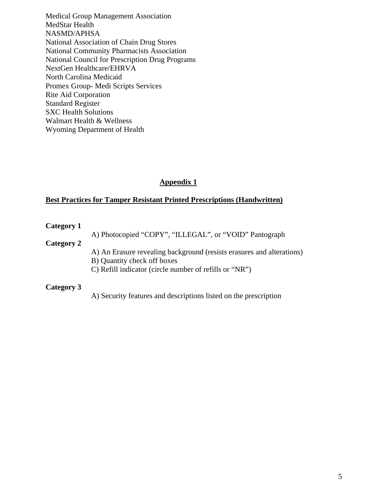Medical Group Management Association MedStar Health NASMD/APHSA National Association of Chain Drug Stores National Community Pharmacists Association National Council for Prescription Drug Programs NextGen Healthcare/EHRVA North Carolina Medicaid Promex Group- Medi Scripts Services Rite Aid Corporation Standard Register SXC Health Solutions Walmart Health & Wellness Wyoming Department of Health

# **Appendix 1**

### **Best Practices for Tamper Resistant Printed Prescriptions (Handwritten)**

#### **Category 1**

A) Photocopied "COPY", "ILLEGAL", or "VOID" Pantograph

#### **Category 2**

A) An Erasure revealing background (resists erasures and alterations)

- B) Quantity check off boxes
- C) Refill indicator (circle number of refills or "NR")

#### **Category 3**

A) Security features and descriptions listed on the prescription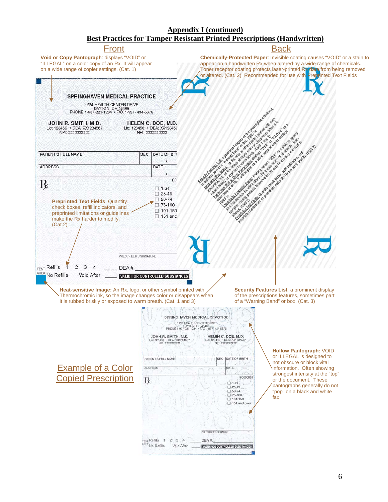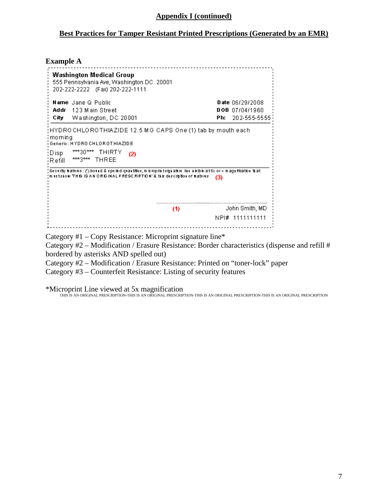### **Appendix I (continued)**

### **Best Practices for Tamper Resistant Printed Prescriptions (Generated by an EMR)**

#### **Example A**

| Washington Medical Group<br>555 Pennsylvania Ave, Washington DC 20001<br>202-222-2222 (Fax) 202-222-1111                                                                                                   |                                                                       |  |  |  |
|------------------------------------------------------------------------------------------------------------------------------------------------------------------------------------------------------------|-----------------------------------------------------------------------|--|--|--|
| <b>Name</b> Jane Q Public<br>- 123 Main Street<br>Addr<br>City<br>Washington, DC 20001                                                                                                                     | <b>Date</b> $06/29/2008$<br>$DOB$ $07/04/1960$<br>202-555-5555<br>Ph: |  |  |  |
| ;HYDROCHLOROTHIAZIDE 12.5 MG CAPS One (1) tab by mouth each<br>; morning<br>i Generic: HYDRO CHLOROT HIAZIDE<br>***30*** THIRTY<br>:Disp<br>(2)<br>***3*** THREE<br>¦R efill ∶                             |                                                                       |  |  |  |
| , Security features: (*) bound & spelled quantities, miloroprintsignature. The ulsible at 5x or > magnification that<br>m (sts)ow THIS IS AN ORIGINAL PRESCRIPTION' & this description of features.<br>(3) |                                                                       |  |  |  |
| (1)                                                                                                                                                                                                        | John Smith, MD<br>NPI# 1111111111                                     |  |  |  |

Category #1 – Copy Resistance: Microprint signature line\*

Category #2 – Modification / Erasure Resistance: Border characteristics (dispense and refill # bordered by asterisks AND spelled out)

Category #2 – Modification / Erasure Resistance: Printed on "toner-lock" paper

Category #3 – Counterfeit Resistance: Listing of security features

\*Microprint Line viewed at 5x magnification THIS IS AN ORIGINAL PRESCRIPTION-THIS IS AN ORIGINAL PRESCRIPTION-THIS IS AN ORIGINAL PRESCRIPTION-THIS IS AN ORIGINAL PRESCRIPTION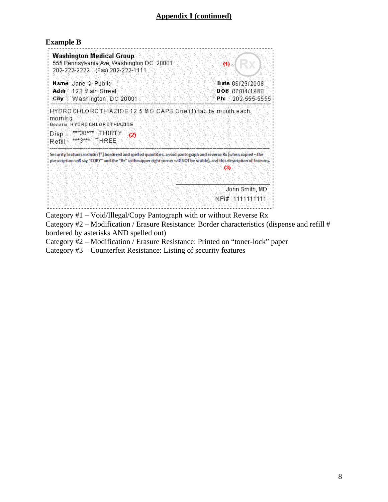# **Appendix I (continued)**

#### **Example B**

| Washington Medical Group<br>555 Pennsylvania Ave, Washington DC-20001<br>202-222-2222 (Fax) 202-222-1111                                                                                                                                           | OE.                                                                |
|----------------------------------------------------------------------------------------------------------------------------------------------------------------------------------------------------------------------------------------------------|--------------------------------------------------------------------|
| <b>Name</b> Jane Q Public<br>Addr 123 Main Street<br>City Washington, DC 20001                                                                                                                                                                     | <b>Date: 86/29/2008</b><br>DOB 87/04/1960<br>202-555-5555<br>Ph: 1 |
| HYDROCHLOROTHIAZIDE 12.5 MG CAPS One (1) tab by mouth each.<br>i marnina<br>Genetic: HYDRO CHLOROTH:AZIDE<br>***30**** THIRTY<br>:Disp<br>(2)<br>***3**** THREE<br>Refil::                                                                         |                                                                    |
| Security features includes (*) bordered and spelled quantities, a void pantograph and reverse Rx (when copied - the<br>prescription will say "COPY" and the "Rx" in the upper right corner will NOT be visible), and this description of features. |                                                                    |
|                                                                                                                                                                                                                                                    | John Smith, MD<br>NF\#\411414114                                   |

Category #1 – Void/Illegal/Copy Pantograph with or without Reverse Rx

Category #2 – Modification / Erasure Resistance: Border characteristics (dispense and refill # bordered by asterisks AND spelled out)

Category #2 – Modification / Erasure Resistance: Printed on "toner-lock" paper

Category #3 – Counterfeit Resistance: Listing of security features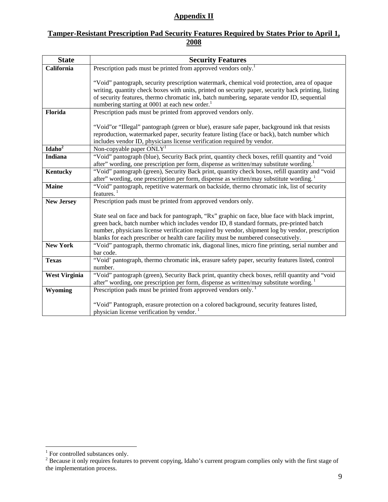### **Appendix II**

## **Tamper-Resistant Prescription Pad Security Features Required by States Prior to April 1, 2008**

| <b>State</b>         | <b>Security Features</b>                                                                                                                                                                               |
|----------------------|--------------------------------------------------------------------------------------------------------------------------------------------------------------------------------------------------------|
| California           | Prescription pads must be printed from approved vendors only. <sup>1</sup>                                                                                                                             |
|                      |                                                                                                                                                                                                        |
|                      | "Void" pantograph, security prescription watermark, chemical void protection, area of opaque                                                                                                           |
|                      | writing, quantity check boxes with units, printed on security paper, security back printing, listing<br>of security features, thermo chromatic ink, batch numbering, separate vendor ID, sequential    |
|                      | numbering starting at 0001 at each new order. <sup>1</sup>                                                                                                                                             |
| Florida              | Prescription pads must be printed from approved vendors only.                                                                                                                                          |
|                      |                                                                                                                                                                                                        |
|                      | "Void" or "Illegal" pantograph (green or blue), erasure safe paper, background ink that resists                                                                                                        |
|                      | reproduction, watermarked paper, security feature listing (face or back), batch number which                                                                                                           |
|                      | includes vendor ID, physicians license verification required by vendor.                                                                                                                                |
| Idaho <sup>2</sup>   | Non-copyable paper $ONLY1$                                                                                                                                                                             |
| <b>Indiana</b>       | "Void" pantograph (blue), Security Back print, quantity check boxes, refill quantity and "void"                                                                                                        |
|                      | after" wording, one prescription per form, dispense as written/may substitute wording. <sup>1</sup>                                                                                                    |
| Kentucky             | "Void" pantograph (green), Security Back print, quantity check boxes, refill quantity and "void                                                                                                        |
|                      | after" wording, one prescription per form, dispense as written/may substitute wording.                                                                                                                 |
| <b>Maine</b>         | "Void" pantograph, repetitive watermark on backside, thermo chromatic ink, list of security<br>features.                                                                                               |
| <b>New Jersey</b>    | Prescription pads must be printed from approved vendors only.                                                                                                                                          |
|                      |                                                                                                                                                                                                        |
|                      | State seal on face and back for pantograph, "Rx" graphic on face, blue face with black imprint,                                                                                                        |
|                      | green back, batch number which includes vendor ID, 8 standard formats, pre-printed batch                                                                                                               |
|                      | number, physicians license verification required by vendor, shipment log by vendor, prescription                                                                                                       |
|                      | blanks for each prescriber or health care facility must be numbered consecutively.                                                                                                                     |
| <b>New York</b>      | "Void" pantograph, thermo chromatic ink, diagonal lines, micro fine printing, serial number and                                                                                                        |
|                      | bar code.                                                                                                                                                                                              |
| <b>Texas</b>         | "Void' pantograph, thermo chromatic ink, erasure safety paper, security features listed, control                                                                                                       |
|                      | number.                                                                                                                                                                                                |
| <b>West Virginia</b> | "Void" pantograph (green), Security Back print, quantity check boxes, refill quantity and "void<br>after" wording, one prescription per form, dispense as written/may substitute wording. <sup>1</sup> |
| Wyoming              | Prescription pads must be printed from approved vendors only. <sup>1</sup>                                                                                                                             |
|                      |                                                                                                                                                                                                        |
|                      | "Void" Pantograph, erasure protection on a colored background, security features listed,                                                                                                               |
|                      | physician license verification by vendor.                                                                                                                                                              |

<sup>&</sup>lt;sup>1</sup> For controlled substances only.<br><sup>2</sup> Because it only requires features to prevent copying, Idaho's current program complies only with the first stage of the implementation process.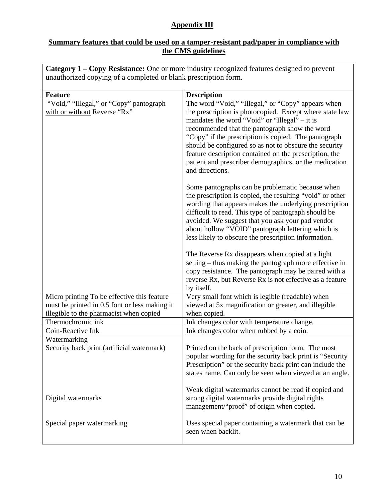## **Appendix III**

## **Summary features that could be used on a tamper-resistant pad/paper in compliance with the CMS guidelines**

**Category 1 – Copy Resistance:** One or more industry recognized features designed to prevent unauthorized copying of a completed or blank prescription form.

| <b>Feature</b>                                                                                                                          |                                                                                                                                                                                                                                                                                                                                                                                                                                                                                                                                                                        |
|-----------------------------------------------------------------------------------------------------------------------------------------|------------------------------------------------------------------------------------------------------------------------------------------------------------------------------------------------------------------------------------------------------------------------------------------------------------------------------------------------------------------------------------------------------------------------------------------------------------------------------------------------------------------------------------------------------------------------|
|                                                                                                                                         | <b>Description</b>                                                                                                                                                                                                                                                                                                                                                                                                                                                                                                                                                     |
| "Void," "Illegal," or "Copy" pantograph<br>with or without Reverse "Rx"                                                                 | The word "Void," "Illegal," or "Copy" appears when<br>the prescription is photocopied. Except where state law<br>mandates the word "Void" or "Illegal" – it is<br>recommended that the pantograph show the word<br>"Copy" if the prescription is copied. The pantograph<br>should be configured so as not to obscure the security<br>feature description contained on the prescription, the<br>patient and prescriber demographics, or the medication<br>and directions.                                                                                               |
|                                                                                                                                         | Some pantographs can be problematic because when<br>the prescription is copied, the resulting "void" or other<br>wording that appears makes the underlying prescription<br>difficult to read. This type of pantograph should be<br>avoided. We suggest that you ask your pad vendor<br>about hollow "VOID" pantograph lettering which is<br>less likely to obscure the prescription information.<br>The Reverse Rx disappears when copied at a light<br>setting – thus making the pantograph more effective in<br>copy resistance. The pantograph may be paired with a |
|                                                                                                                                         | reverse Rx, but Reverse Rx is not effective as a feature<br>by itself.                                                                                                                                                                                                                                                                                                                                                                                                                                                                                                 |
| Micro printing To be effective this feature<br>must be printed in 0.5 font or less making it<br>illegible to the pharmacist when copied | Very small font which is legible (readable) when<br>viewed at 5x magnification or greater, and illegible<br>when copied.                                                                                                                                                                                                                                                                                                                                                                                                                                               |
| Thermochromic ink                                                                                                                       | Ink changes color with temperature change.                                                                                                                                                                                                                                                                                                                                                                                                                                                                                                                             |
| Coin-Reactive Ink                                                                                                                       | Ink changes color when rubbed by a coin.                                                                                                                                                                                                                                                                                                                                                                                                                                                                                                                               |
| Watermarking<br>Security back print (artificial watermark)                                                                              | Printed on the back of prescription form. The most<br>popular wording for the security back print is "Security<br>Prescription" or the security back print can include the<br>states name. Can only be seen when viewed at an angle.                                                                                                                                                                                                                                                                                                                                   |
| Digital watermarks                                                                                                                      | Weak digital watermarks cannot be read if copied and<br>strong digital watermarks provide digital rights<br>management/"proof" of origin when copied.                                                                                                                                                                                                                                                                                                                                                                                                                  |
| Special paper watermarking                                                                                                              | Uses special paper containing a watermark that can be<br>seen when backlit.                                                                                                                                                                                                                                                                                                                                                                                                                                                                                            |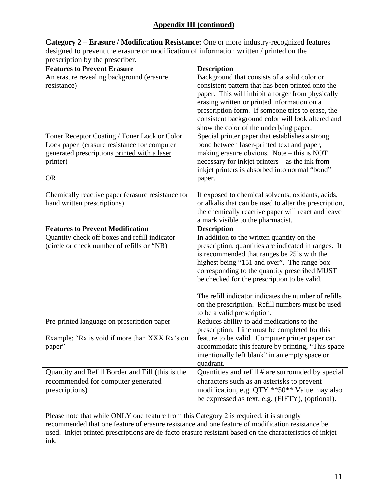| Category 2 – Erasure / Modification Resistance: One or more industry-recognized features |                                                                                                     |  |
|------------------------------------------------------------------------------------------|-----------------------------------------------------------------------------------------------------|--|
| designed to prevent the erasure or modification of information written / printed on the  |                                                                                                     |  |
| prescription by the prescriber.                                                          |                                                                                                     |  |
| <b>Features to Prevent Erasure</b>                                                       | <b>Description</b>                                                                                  |  |
| An erasure revealing background (erasure                                                 | Background that consists of a solid color or                                                        |  |
| resistance)                                                                              | consistent pattern that has been printed onto the                                                   |  |
|                                                                                          | paper. This will inhibit a forger from physically                                                   |  |
|                                                                                          | erasing written or printed information on a                                                         |  |
|                                                                                          | prescription form. If someone tries to erase, the                                                   |  |
|                                                                                          | consistent background color will look altered and                                                   |  |
|                                                                                          | show the color of the underlying paper.                                                             |  |
| Toner Receptor Coating / Toner Lock or Color                                             | Special printer paper that establishes a strong                                                     |  |
| Lock paper (erasure resistance for computer                                              | bond between laser-printed text and paper,                                                          |  |
| generated prescriptions printed with a laser                                             | making erasure obvious. Note $-$ this is NOT                                                        |  |
| printer)                                                                                 | necessary for inkjet printers $-$ as the ink from<br>inkjet printers is absorbed into normal "bond" |  |
| <b>OR</b>                                                                                | paper.                                                                                              |  |
|                                                                                          |                                                                                                     |  |
| Chemically reactive paper (erasure resistance for                                        | If exposed to chemical solvents, oxidants, acids,                                                   |  |
| hand written prescriptions)                                                              | or alkalis that can be used to alter the prescription,                                              |  |
|                                                                                          | the chemically reactive paper will react and leave                                                  |  |
|                                                                                          | a mark visible to the pharmacist.                                                                   |  |
| <b>Features to Prevent Modification</b>                                                  | <b>Description</b>                                                                                  |  |
| Quantity check off boxes and refill indicator                                            | In addition to the written quantity on the                                                          |  |
| (circle or check number of refills or "NR)                                               | prescription, quantities are indicated in ranges. It                                                |  |
|                                                                                          | is recommended that ranges be 25's with the                                                         |  |
|                                                                                          | highest being "151 and over". The range box                                                         |  |
|                                                                                          | corresponding to the quantity prescribed MUST                                                       |  |
|                                                                                          | be checked for the prescription to be valid.                                                        |  |
|                                                                                          |                                                                                                     |  |
|                                                                                          | The refill indicator indicates the number of refills                                                |  |
|                                                                                          | on the prescription. Refill numbers must be used                                                    |  |
|                                                                                          | to be a valid prescription.                                                                         |  |
| Pre-printed language on prescription paper                                               | Reduces ability to add medications to the                                                           |  |
| Example: "Rx is void if more than XXX Rx's on                                            | prescription. Line must be completed for this<br>feature to be valid. Computer printer paper can    |  |
| paper"                                                                                   | accommodate this feature by printing, "This space                                                   |  |
|                                                                                          | intentionally left blank" in an empty space or                                                      |  |
|                                                                                          | quadrant.                                                                                           |  |
| Quantity and Refill Border and Fill (this is the                                         | Quantities and refill # are surrounded by special                                                   |  |
| recommended for computer generated                                                       | characters such as an asterisks to prevent                                                          |  |
| prescriptions)                                                                           | modification, e.g. QTY **50** Value may also                                                        |  |
|                                                                                          | be expressed as text, e.g. (FIFTY), (optional).                                                     |  |

Please note that while ONLY one feature from this Category 2 is required, it is strongly recommended that one feature of erasure resistance and one feature of modification resistance be used. Inkjet printed prescriptions are de-facto erasure resistant based on the characteristics of inkjet ink.